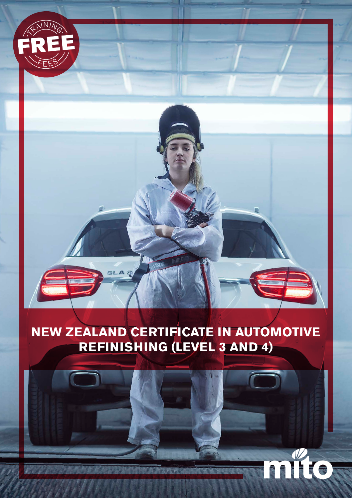

# **NEW ZEALAND CERTIFICATE IN AUTOMOTIVE REFINISHING (LEVEL 3 AND 4)**

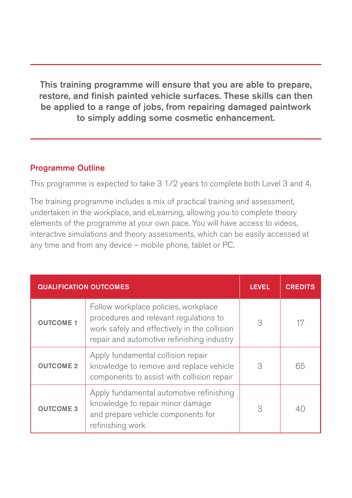This training programme will ensure that you are able to prepare, restore, and finish painted vehicle surfaces. These skills can then be applied to a range of jobs, from repairing damaged paintwork to simply adding some cosmetic enhancement.

#### Programme Outline

This programme is expected to take 3 1/2 years to complete both Level 3 and 4.

The training programme includes a mix of practical training and assessment, undertaken in the workplace, and eLearning, allowing you to complete theory elements of the programme at your own pace. You will have access to videos, interactive simulations and theory assessments, which can be easily accessed at any time and from any device – mobile phone, tablet or PC.

| <b>QUALIFICATION OUTCOMES</b> |                                                                                                                                                                              | <b>LEVEL</b> | <b>CREDITS</b> |
|-------------------------------|------------------------------------------------------------------------------------------------------------------------------------------------------------------------------|--------------|----------------|
| <b>OUTCOME 1</b>              | Follow workplace policies, workplace<br>procedures and relevant regulations to<br>work safely and effectively in the collision<br>repair and automotive refinishing industry | 3            | 17             |
| <b>OUTCOME 2</b>              | Apply fundamental collision repair<br>knowledge to remove and replace vehicle<br>components to assist with collision repair                                                  | 3            | 65             |
| <b>OUTCOME 3</b>              | Apply fundamental automotive refinishing<br>knowledge to repair minor damage<br>and prepare vehicle components for<br>refinishing work                                       | 3            |                |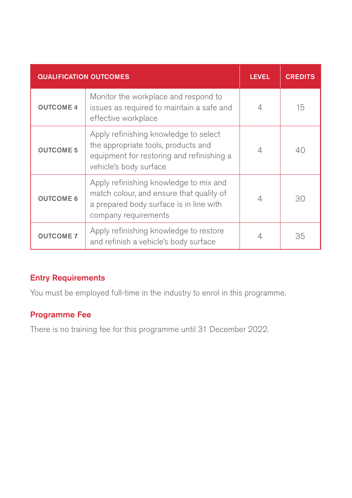| <b>QUALIFICATION OUTCOMES</b> |                                                                                                                                                       | <b>LEVEL</b> | <b>CREDITS</b> |
|-------------------------------|-------------------------------------------------------------------------------------------------------------------------------------------------------|--------------|----------------|
| <b>OUTCOME 4</b>              | Monitor the workplace and respond to<br>issues as required to maintain a safe and<br>effective workplace                                              | 4            | 15             |
| <b>OUTCOME 5</b>              | Apply refinishing knowledge to select<br>the appropriate tools, products and<br>equipment for restoring and refinishing a<br>vehicle's body surface   | 4            | 40             |
| <b>OUTCOME 6</b>              | Apply refinishing knowledge to mix and<br>match colour, and ensure that quality of<br>a prepared body surface is in line with<br>company requirements | 4            | 30             |
| <b>OUTCOME 7</b>              | Apply refinishing knowledge to restore<br>and refinish a vehicle's body surface                                                                       |              | 35             |

#### Entry Requirements

You must be employed full-time in the industry to enrol in this programme.

### Programme Fee

There is no training fee for this programme until 31 December 2022.